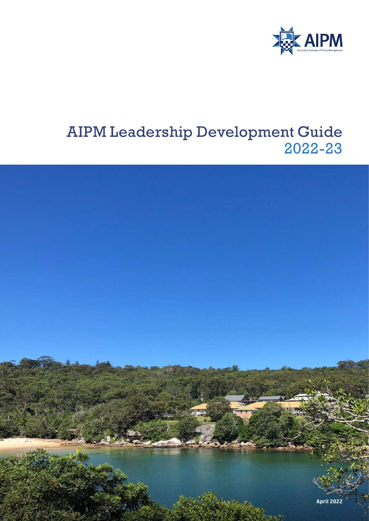

# AIPM Leadership Development Guide 2022-23

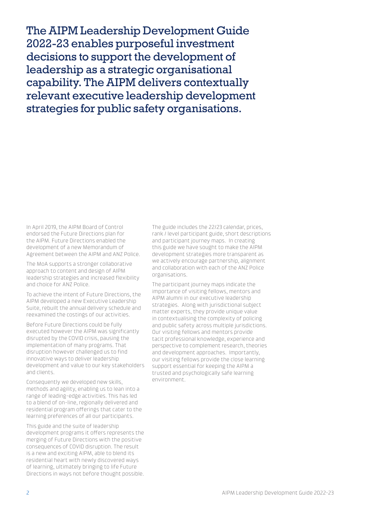The AIPM Leadership Development Guide 2022-23 enables purposeful investment decisions to support the development of leadership as a strategic organisational capability. The AIPM delivers contextually relevant executive leadership development strategies for public safety organisations.

In April 2019, the AIPM Board of Control endorsed the Future Directions plan for the AIPM. Future Directions enabled the development of a new Memorandum of Agreement between the AIPM and ANZ Police.

The MoA supports a stronger collaborative approach to content and design of AIPM leadership strategies and increased flexibility and choice for ANZ Police.

To achieve the intent of Future Directions, the AIPM developed a new Executive Leadership Suite, rebuilt the annual delivery schedule and reexamined the costings of our activities.

Before Future Directions could be fully executed however the AIPM was significantly disrupted by the COVID crisis, pausing the implementation of many programs. That disruption however challenged us to find innovative ways to deliver leadership development and value to our key stakeholders and clients.

Consequently we developed new skills, methods and agility, enabling us to lean into a range of leading-edge activities. This has led to a blend of on-line, regionally delivered and residential program offerings that cater to the learning preferences of all our participants.

This guide and the suite of leadership development programs it offers represents the merging of Future Directions with the positive consequences of COVID disruption. The result is a new and exciting AIPM, able to blend its residential heart with newly discovered ways of learning, ultimately bringing to life Future Directions in ways not before thought possible.

The guide includes the 22/23 calendar, prices, rank / level participant guide, short descriptions and participant journey maps. In creating this guide we have sought to make the AIPM development strategies more transparent as we actively encourage partnership, alignment and collaboration with each of the ANZ Police organisations.

The participant journey maps indicate the importance of visiting fellows, mentors and AIPM alumni in our executive leadership strategies. Along with jurisdictional subject matter experts, they provide unique value in contextualising the complexity of policing and public safety across multiple jurisdictions. Our visiting fellows and mentors provide tacit professional knowledge, experience and perspective to complement research, theories and development approaches. Importantly, our visiting fellows provide the close learning support essential for keeping the AIPM a trusted and psychologically safe learning environment.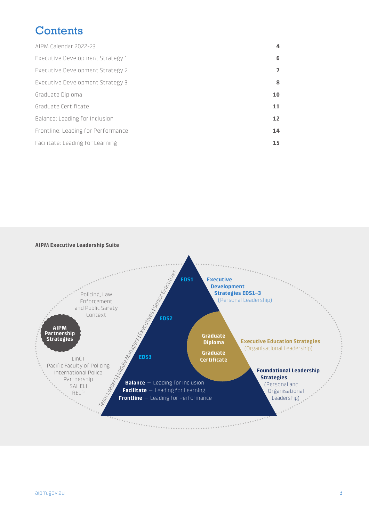# **Contents**

| AIPM Calendar 2022-23              | $\overline{a}$ |
|------------------------------------|----------------|
| Executive Development Strategy 1   | 6              |
| Executive Development Strategy 2   | $\overline{7}$ |
| Executive Development Strategy 3   | 8              |
| Graduate Diploma                   | 10             |
| Graduate Certificate               | 11             |
| Balance: Leading for Inclusion     | 12             |
| Frontline: Leading for Performance | 14             |
| Facilitate: Leading for Learning   | 15             |
|                                    |                |

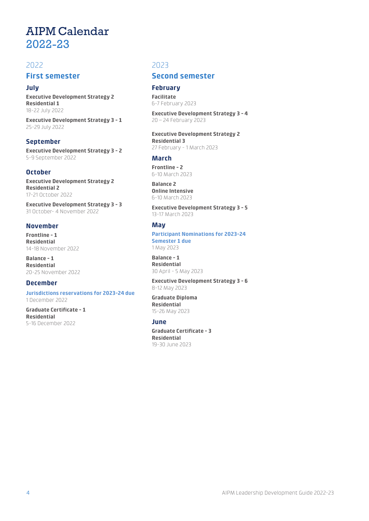# AIPM Calendar 2022-23

# 2022

# **First semester**

## **July**

**Executive Development Strategy 2 Residential 1** 18-22 July 2022

**Executive Development Strategy 3 - 1** 25-29 July 2022

**September Executive Development Strategy 3 - 2** 5-9 September 2022

**October**

**Executive Development Strategy 2 Residential 2** 17-21 October 2022

**Executive Development Strategy 3 - 3** 31 October- 4 November 2022

## **November**

**Frontline - 1 Residential** 14-18 November 2022

**Balance - 1 Residential** 20-25 November 2022

## **December**

**Jurisdictions reservations for 2023-24 due** 1 December 2022

**Graduate Certificate - 1 Residential** 5-16 December 2022

## 2023

# **Second semester**

## **February**

**Facilitate** 6-7 February 2023

**Executive Development Strategy 3 - 4** 20 – 24 February 2023

**Executive Development Strategy 2 Residential 3** 27 February - 1 March 2023

## **March**

**Frontline - 2** 6-10 March 2023

**Balance 2 Online Intensive** 6-10 March 2023

**Executive Development Strategy 3 - 5** 13-17 March 2023

## **May**

**Participant Nominations for 2023-24 Semester 1 due** 1 May 2023

**Balance - 1 Residential** 30 April - 5 May 2023

**Executive Development Strategy 3 - 6** 8-12 May 2023

**Graduate Diploma Residential** 15-26 May 2023

## **June**

**Graduate Certificate - 3 Residential** 19-30 June 2023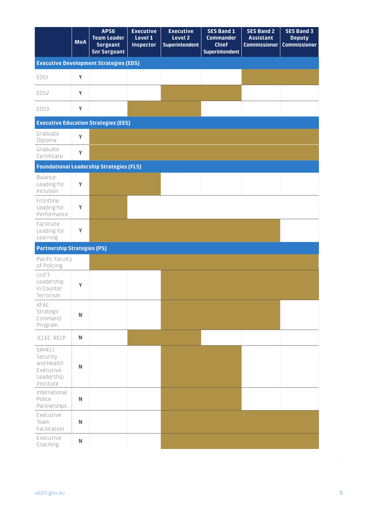|                                                                           | <b>MoA</b> | APS6<br><b>Team Leader</b><br><b>Sergeant</b><br><b>Snr Sergeant</b> | <b>Executive</b><br>Level 1<br>Inspector | <b>Executive</b><br><b>Level 2</b><br><b>Superintendent</b> | <b>SES Band 1</b><br><b>Commander</b><br><b>Chief</b><br><b>Superintendent</b> | <b>SES Band 2</b><br><b>Assistant</b><br><b>Commissioner</b> | <b>SES Band 3</b><br><b>Deputy</b><br><b>Commissioner</b> |  |  |
|---------------------------------------------------------------------------|------------|----------------------------------------------------------------------|------------------------------------------|-------------------------------------------------------------|--------------------------------------------------------------------------------|--------------------------------------------------------------|-----------------------------------------------------------|--|--|
| <b>Executive Development Strategies (EDS)</b>                             |            |                                                                      |                                          |                                                             |                                                                                |                                                              |                                                           |  |  |
| EDS1                                                                      | Υ          |                                                                      |                                          |                                                             |                                                                                |                                                              |                                                           |  |  |
| EDS2                                                                      | Υ          |                                                                      |                                          |                                                             |                                                                                |                                                              |                                                           |  |  |
| EDS3                                                                      | Y          |                                                                      |                                          |                                                             |                                                                                |                                                              |                                                           |  |  |
|                                                                           |            | <b>Executive Education Strategies (EES)</b>                          |                                          |                                                             |                                                                                |                                                              |                                                           |  |  |
| Graduate<br>Diploma                                                       | Υ          |                                                                      |                                          |                                                             |                                                                                |                                                              |                                                           |  |  |
| Graduate<br>Certificate                                                   | Υ          |                                                                      |                                          |                                                             |                                                                                |                                                              |                                                           |  |  |
|                                                                           |            | <b>Foundational Leadership Strategies (FLS)</b>                      |                                          |                                                             |                                                                                |                                                              |                                                           |  |  |
| Balance:<br>Leading for<br>Inclusion                                      | Υ          |                                                                      |                                          |                                                             |                                                                                |                                                              |                                                           |  |  |
| Frontline:<br>Leading for<br>Performance                                  | Υ          |                                                                      |                                          |                                                             |                                                                                |                                                              |                                                           |  |  |
| Facilitate:<br>Leading for<br>Learning                                    | Y          |                                                                      |                                          |                                                             |                                                                                |                                                              |                                                           |  |  |
| <b>Partnership Strategies (PS)</b>                                        |            |                                                                      |                                          |                                                             |                                                                                |                                                              |                                                           |  |  |
| Pacific Faculty<br>of Policing                                            |            |                                                                      |                                          |                                                             |                                                                                |                                                              |                                                           |  |  |
| LinCT:<br>Leadership<br>in Counter<br>Terrorism                           | Υ          |                                                                      |                                          |                                                             |                                                                                |                                                              |                                                           |  |  |
| ${\sf AFAC}$<br>Strategic<br>Command<br>Program                           | N          |                                                                      |                                          |                                                             |                                                                                |                                                              |                                                           |  |  |
| JCLEC: RELP                                                               | N          |                                                                      |                                          |                                                             |                                                                                |                                                              |                                                           |  |  |
| SAHELI:<br>Security<br>and Health<br>Executive<br>Leadership<br>Institute | N          |                                                                      |                                          |                                                             |                                                                                |                                                              |                                                           |  |  |
| International<br>Police<br>Partnerships                                   | N          |                                                                      |                                          |                                                             |                                                                                |                                                              |                                                           |  |  |
| Executive<br>Team<br>Facilitation                                         | ${\sf N}$  |                                                                      |                                          |                                                             |                                                                                |                                                              |                                                           |  |  |
| Executive<br>Coaching                                                     | ${\sf N}$  |                                                                      |                                          |                                                             |                                                                                |                                                              |                                                           |  |  |

.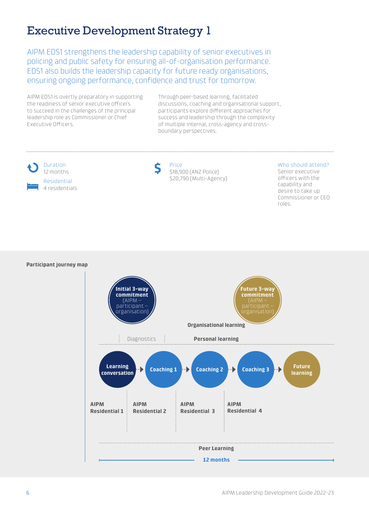# Executive Development Strategy 1

AIPM EDS1 strengthens the leadership capability of senior executives in policing and public safety for ensuring all-of-organisation performance. EDS1 also builds the leadership capacity for future ready organisations, ensuring ongoing performance, confidence and trust for tomorrow.

AIPM EDS1 is overtly preparatory in supporting the readiness of senior executive officers to succeed in the challenges of the principal leadership role as Commissioner or Chief Executive Officers.

Through peer-based learning, facilitated discussions, coaching and organisational support, participants explore different approaches for success and leadership through the complexity of multiple internal, cross-agency and crossboundary perspectives.



Price \$18,900 (ANZ Police) \$20,790 (Multi-Agency)

#### Who should attend?

Senior executive officers with the capability and desire to take up Commissioner or CEO roles.

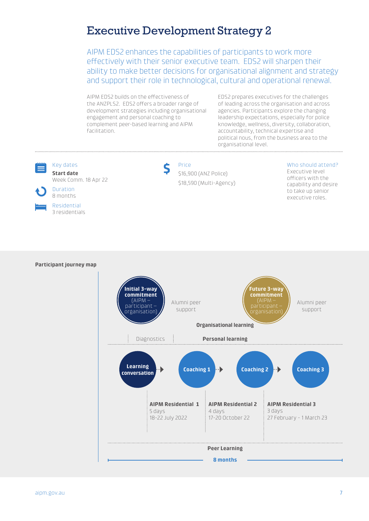# Executive Development Strategy 2

AIPM EDS2 enhances the capabilities of participants to work more effectively with their senior executive team. EDS2 will sharpen their ability to make better decisions for organisational alignment and strategy and support their role in technological, cultural and operational renewal.

AIPM EDS2 builds on the effectiveness of the ANZPLS2. EDS2 offers a broader range of development strategies including organisational engagement and personal coaching to complement peer-based learning and AIPM facilitation.

ς

EDS2 prepares executives for the challenges of leading across the organisation and across agencies. Participants explore the changing leadership expectations, especially for police knowledge, wellness, diversity, collaboration, accountability, technical expertise and political nous, from the business area to the organisational level. 



**Start date** Week Comm. 18 Apr 22

Duration 8 months

Residential 3 residentials Price \$16,900 (ANZ Police) \$18,590 (Multi-Agency)

## Who should attend? Executive level

officers with the capability and desire to take up senior executive roles.

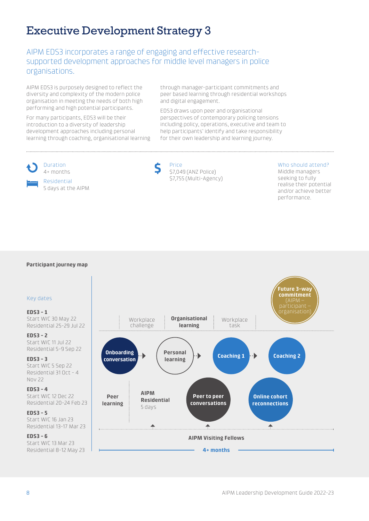# Executive Development Strategy 3

# AIPM EDS3 incorporates a range of engaging and effective researchsupported development approaches for middle level managers in police organisations.

AIPM EDS3 is purposely designed to reflect the diversity and complexity of the modern police organisation in meeting the needs of both high performing and high potential participants.

For many participants, EDS3 will be their introduction to a diversity of leadership development approaches including personal learning through coaching, organisational learning through manager-participant commitments and peer based learning through residential workshops and digital engagement.

EDS3 draws upon peer and organisational perspectives of contemporary policing tensions including policy, operations, executive and team to help participants' identify and take responsibility for their own leadership and learning journey.

Duration 4+ months

Residential 5 days at the AIPM



Who should attend?

Middle managers seeking to fully realise their potential and/or achieve better performance.

### **Participant journey map**



#### **EDS3 - 1** Start W/C 30 May 22 Residential 25-29 Jul 22

**EDS3 - 2** Start W/C 11 Jul 22 Residential 5-9 Sep 22

**EDS3 - 3** Start W/C 5 Sep 22 Residential 31 Oct - 4 Nov 22

**EDS3 - 4** Start W/C 12 Dec 22 Residential 20-24 Feb 23

**EDS3 - 5** Start W/C 16 Jan 23 Residential 13-17 Mar 23

**EDS3 - 6**

Start W/C 13 Mar 23 Residential 8-12 May 23

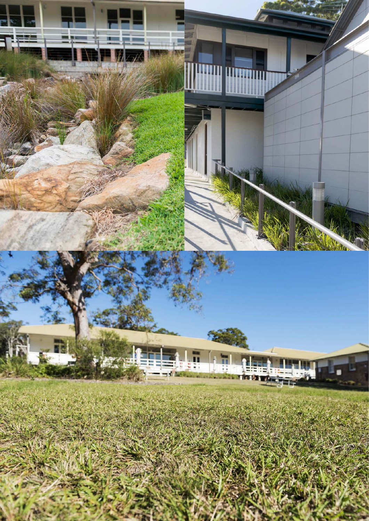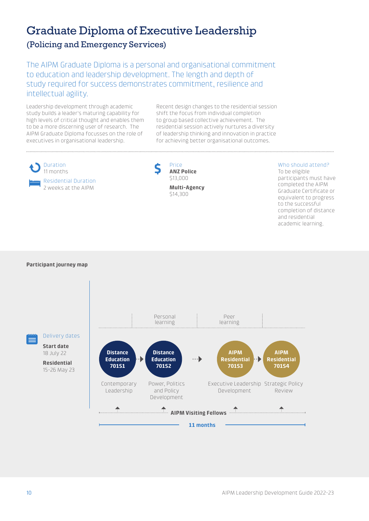# Graduate Diploma of Executive Leadership (Policing and Emergency Services)

The AIPM Graduate Diploma is a personal and organisational commitment to education and leadership development. The length and depth of study required for success demonstrates commitment, resilience and intellectual agility.

Leadership development through academic study builds a leader's maturing capability for high levels of critical thought and enables them to be a more discerning user of research. The AIPM Graduate Diploma focusses on the role of executives in organisational leadership.

Recent design changes to the residential session shift the focus from individual completion to group based collective achievement. The residential session actively nurtures a diversity of leadership thinking and innovation in practice for achieving better organisational outcomes.

Duration 11 months Residential Duration 2 weeks at the AIPM

Price **ANZ Police** \$13,000 **Multi-Agency** \$14,300

### Who should attend?

To be eligible participants must have completed the AIPM Graduate Certificate or equivalent to progress to the successful completion of distance and residential academic learning.

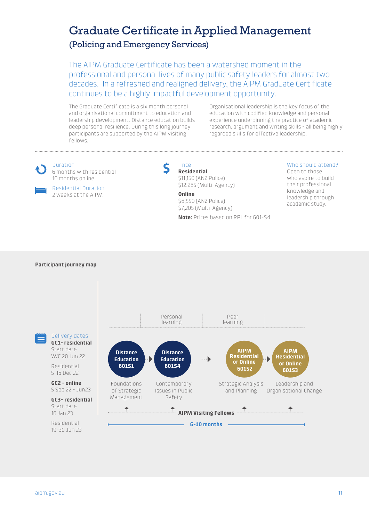# Graduate Certificate in Applied Management (Policing and Emergency Services)

The AIPM Graduate Certificate has been a watershed moment in the professional and personal lives of many public safety leaders for almost two decades. In a refreshed and realigned delivery, the AIPM Graduate Certificate continues to be a highly impactful development opportunity.

The Graduate Certificate is a six month personal and organisational commitment to education and leadership development. Distance education builds deep personal resilience. During this long journey participants are supported by the AIPM visiting fellows.

Organisational leadership is the key focus of the education with codified knowledge and personal experience underpinning the practice of academic research, argument and writing skills - all being highly regarded skills for effective leadership.

Duration

6 months with residential 10 months online

Residential Duration 2 weeks at the AIPM

Price **Residential** \$11,150 (ANZ Police) \$12,265 (Multi-Agency)

**Online** \$6,550 (ANZ Police) \$7,205 (Multi-Agency)

**Note:** Prices based on RPL for 601-S4

## Who should attend? Open to those who aspire to build

their professional knowledge and leadership through academic study.

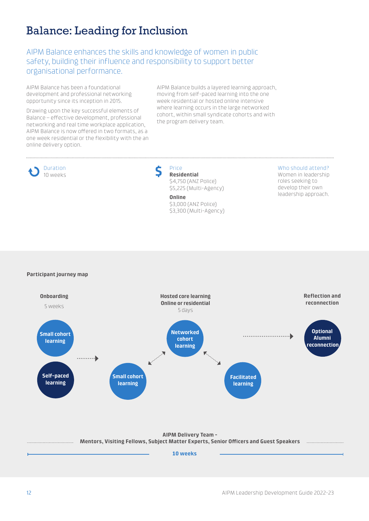# Balance: Leading for Inclusion

# AIPM Balance enhances the skills and knowledge of women in public safety, building their influence and responsibility to support better organisational performance.

AIPM Balance has been a foundational development and professional networking opportunity since its inception in 2015.

Drawing upon the key successful elements of Balance – effective development, professional networking and real time workplace application, AIPM Balance is now offered in two formats, as a one week residential or the flexibility with the an online delivery option.

AIPM Balance builds a layered learning approach, moving from self-paced learning into the one week residential or hosted online intensive where learning occurs in the large networked cohort, within small syndicate cohorts and with the program delivery team.

### Duration 10 weeks



\$4,750 (ANZ Police) \$5,225 (Multi-Agency)

**Online** \$3,000 (ANZ Police) \$3,300 (Multi-Agency)

### Who should attend?

Women in leadership roles seeking to develop their own leadership approach.

### **Participant journey map**



**AIPM Delivery Team - Mentors, Visiting Fellows, Subject Matter Experts, Senior Officers and Guest Speakers**

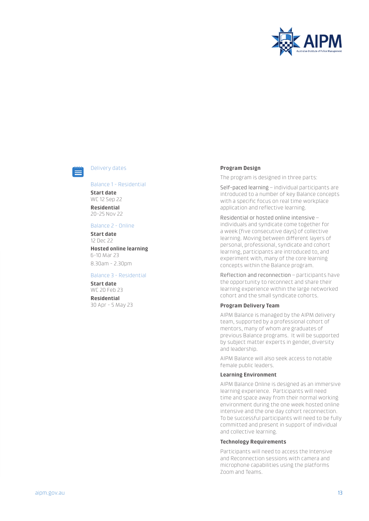



### Delivery dates

Balance 1 - Residential **Start date** WC 12 Sep 22

**Residential** 20-25 Nov 22

#### Balance 2 - Online

**Start date** 12 Dec 22

**Hosted online learning** 6-10 Mar 23 8.30am - 2.30pm

#### Balance 3 - Residential

**Start date** WC 20 Feb 23

**Residential** 30 Apr - 5 May 23

#### **Program Design**

The program is designed in three parts:

Self-paced learning – individual participants are introduced to a number of key Balance concepts with a specific focus on real time workplace application and reflective learning.

Residential or hosted online intensive – individuals and syndicate come together for a week (five consecutive days) of collective learning. Moving between different layers of personal, professional, syndicate and cohort learning, participants are introduced to, and experiment with, many of the core learning concepts within the Balance program.

Reflection and reconnection – participants have the opportunity to reconnect and share their learning experience within the large networked cohort and the small syndicate cohorts.

#### **Program Delivery Team**

AIPM Balance is managed by the AIPM delivery team, supported by a professional cohort of mentors, many of whom are graduates of previous Balance programs. It will be supported by subject matter experts in gender, diversity and leadership.

AIPM Balance will also seek access to notable female public leaders.

#### **Learning Environment**

AIPM Balance Online is designed as an immersive learning experience. Participants will need time and space away from their normal working environment during the one week hosted online intensive and the one day cohort reconnection. To be successful participants will need to be fully committed and present in support of individual and collective learning.

#### **Technology Requirements**

Participants will need to access the Intensive and Reconnection sessions with camera and microphone capabilities using the platforms Zoom and Teams.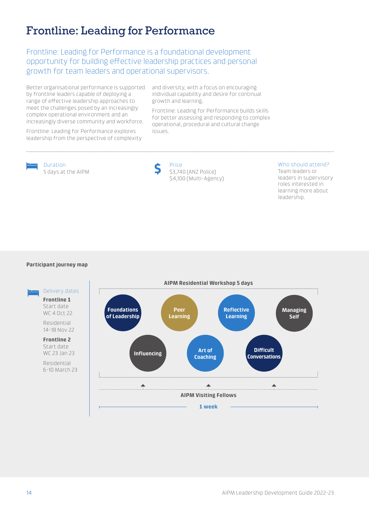# Frontline: Leading for Performance

# Frontline: Leading for Performance is a foundational development opportunity for building effective leadership practices and personal growth for team leaders and operational supervisors.

Better organisational performance is supported by frontline leaders capable of deploying a range of effective leadership approaches to meet the challenges posed by an increasingly complex operational environment and an increasingly diverse community and workforce.

Frontline: Leading for Performance explores leadership from the perspective of complexity

and diversity, with a focus on encouraging individual capability and desire for continual growth and learning.

Frontline: Leading for Performance builds skills for better assessing and responding to complex operational, procedural and cultural change issues.



Duration 5 days at the AIPM



### Who should attend?

Team leaders or leaders in supervisory roles interested in learning more about leadership.

#### **Participant journey map**



**Frontline 1** Start date WC 4 Oct 22

Residential 14-18 Nov 22

**Frontline 2** Start date WC 23 Jan 23

Residential 6-10 March 23

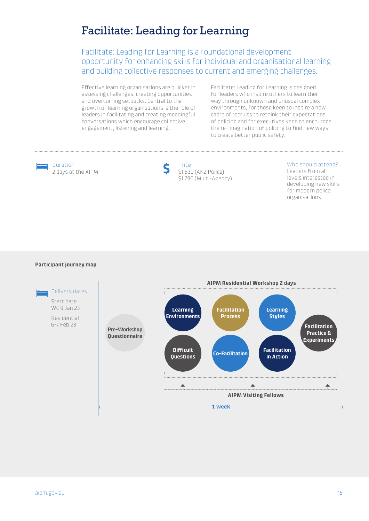# Facilitate: Leading for Learning

Facilitate: Leading for Learning is a foundational development opportunity for enhancing skills for individual and organisational learning and building collective responses to current and emerging challenges.

Effective learning organisations are quicker in assessing challenges, creating opportunities and overcoming setbacks. Central to the growth of learning organisations is the role of leaders in facilitating and creating meaningful conversations which encourage collective engagement, listening and learning.

Facilitate: Leading for Learning is designed for leaders who inspire others to learn their way through unknown and unusual complex environments, for those keen to inspire a new cadre of recruits to rethink their expectations of policing and for executives keen to encourage the re-imagination of policing to find new ways to create better public safety.

Duration 2 days at the AIPM

S

Price \$1,630 (ANZ Police) \$1,790 (Multi-Agency) Who should attend? Leaders from all levels interested in developing new skills for modern police organisations.